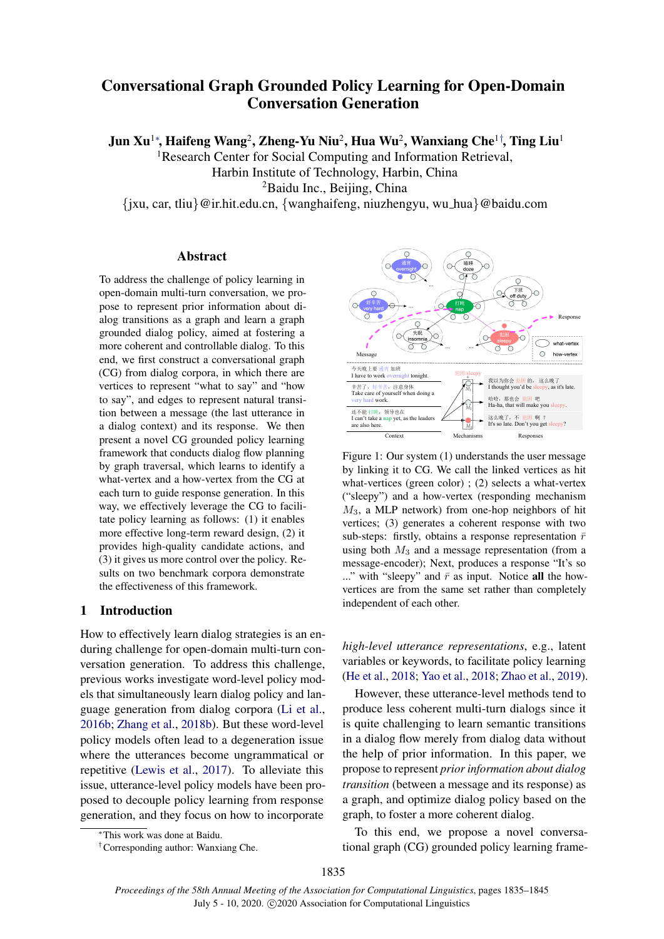# Conversational Graph Grounded Policy Learning for Open-Domain Conversation Generation

Jun Xu $^{1*}$ , Haifeng Wang $^{2}$ , Zheng-Yu Niu $^{2}$ , Hua Wu $^{2}$ , Wanxiang Che $^{1\dagger}$ , Ting Liu $^{1}$ 

<sup>1</sup>Research Center for Social Computing and Information Retrieval,

Harbin Institute of Technology, Harbin, China

<sup>2</sup>Baidu Inc., Beijing, China

{jxu, car, tliu}@ir.hit.edu.cn, {wanghaifeng, niuzhengyu, wu hua}@baidu.com

### Abstract

To address the challenge of policy learning in open-domain multi-turn conversation, we propose to represent prior information about dialog transitions as a graph and learn a graph grounded dialog policy, aimed at fostering a more coherent and controllable dialog. To this end, we first construct a conversational graph (CG) from dialog corpora, in which there are vertices to represent "what to say" and "how to say", and edges to represent natural transition between a message (the last utterance in a dialog context) and its response. We then present a novel CG grounded policy learning framework that conducts dialog flow planning by graph traversal, which learns to identify a what-vertex and a how-vertex from the CG at each turn to guide response generation. In this way, we effectively leverage the CG to facilitate policy learning as follows: (1) it enables more effective long-term reward design, (2) it provides high-quality candidate actions, and (3) it gives us more control over the policy. Results on two benchmark corpora demonstrate the effectiveness of this framework.

### 1 Introduction

How to effectively learn dialog strategies is an enduring challenge for open-domain multi-turn conversation generation. To address this challenge, previous works investigate word-level policy models that simultaneously learn dialog policy and language generation from dialog corpora [\(Li et al.,](#page-8-0) [2016b;](#page-8-0) [Zhang et al.,](#page-9-0) [2018b\)](#page-9-0). But these word-level policy models often lead to a degeneration issue where the utterances become ungrammatical or repetitive [\(Lewis et al.,](#page-8-1) [2017\)](#page-8-1). To alleviate this issue, utterance-level policy models have been proposed to decouple policy learning from response generation, and they focus on how to incorporate

<span id="page-0-0"></span>

Figure 1: Our system (1) understands the user message by linking it to CG. We call the linked vertices as hit what-vertices (green color) ; (2) selects a what-vertex ("sleepy") and a how-vertex (responding mechanism  $M_3$ , a MLP network) from one-hop neighbors of hit vertices; (3) generates a coherent response with two sub-steps: firstly, obtains a response representation  $\bar{r}$ using both  $M_3$  and a message representation (from a message-encoder); Next, produces a response "It's so ..." with "sleepy" and  $\bar{r}$  as input. Notice all the howvertices are from the same set rather than completely independent of each other.

*high-level utterance representations*, e.g., latent variables or keywords, to facilitate policy learning [\(He et al.,](#page-8-2) [2018;](#page-8-2) [Yao et al.,](#page-9-1) [2018;](#page-9-1) [Zhao et al.,](#page-9-2) [2019\)](#page-9-2).

However, these utterance-level methods tend to produce less coherent multi-turn dialogs since it is quite challenging to learn semantic transitions in a dialog flow merely from dialog data without the help of prior information. In this paper, we propose to represent *prior information about dialog transition* (between a message and its response) as a graph, and optimize dialog policy based on the graph, to foster a more coherent dialog.

To this end, we propose a novel conversational graph (CG) grounded policy learning frame-

<sup>∗</sup>This work was done at Baidu.

<sup>†</sup>Corresponding author: Wanxiang Che.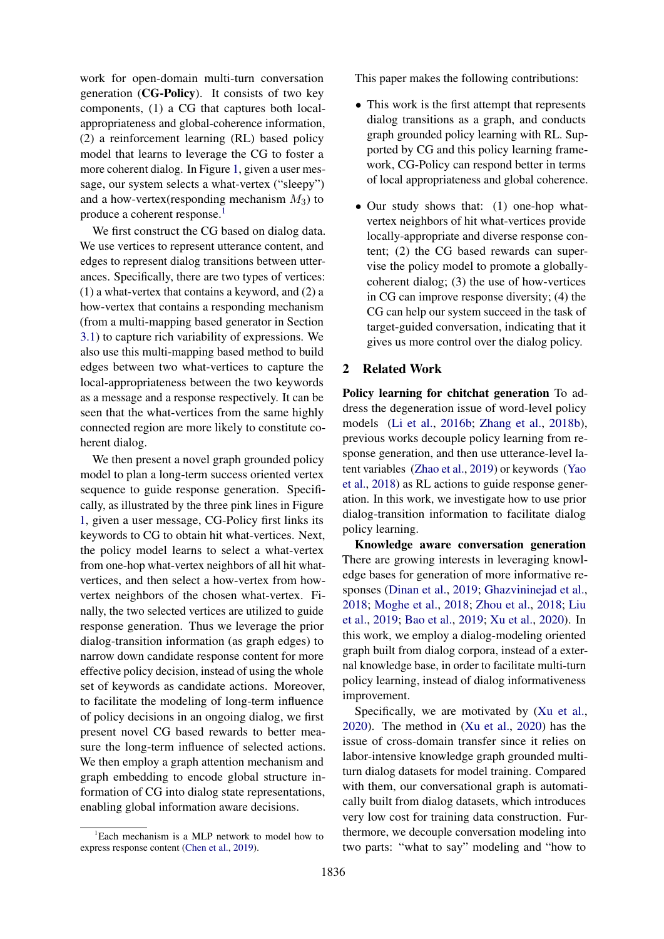work for open-domain multi-turn conversation generation (CG-Policy). It consists of two key components, (1) a CG that captures both localappropriateness and global-coherence information, (2) a reinforcement learning (RL) based policy model that learns to leverage the CG to foster a more coherent dialog. In Figure [1,](#page-0-0) given a user message, our system selects a what-vertex ("sleepy") and a how-vertex(responding mechanism  $M_3$ ) to produce a coherent response.<sup>[1](#page-1-0)</sup>

We first construct the CG based on dialog data. We use vertices to represent utterance content, and edges to represent dialog transitions between utterances. Specifically, there are two types of vertices: (1) a what-vertex that contains a keyword, and (2) a how-vertex that contains a responding mechanism (from a multi-mapping based generator in Section [3.1\)](#page-2-0) to capture rich variability of expressions. We also use this multi-mapping based method to build edges between two what-vertices to capture the local-appropriateness between the two keywords as a message and a response respectively. It can be seen that the what-vertices from the same highly connected region are more likely to constitute coherent dialog.

We then present a novel graph grounded policy model to plan a long-term success oriented vertex sequence to guide response generation. Specifically, as illustrated by the three pink lines in Figure [1,](#page-0-0) given a user message, CG-Policy first links its keywords to CG to obtain hit what-vertices. Next, the policy model learns to select a what-vertex from one-hop what-vertex neighbors of all hit whatvertices, and then select a how-vertex from howvertex neighbors of the chosen what-vertex. Finally, the two selected vertices are utilized to guide response generation. Thus we leverage the prior dialog-transition information (as graph edges) to narrow down candidate response content for more effective policy decision, instead of using the whole set of keywords as candidate actions. Moreover, to facilitate the modeling of long-term influence of policy decisions in an ongoing dialog, we first present novel CG based rewards to better measure the long-term influence of selected actions. We then employ a graph attention mechanism and graph embedding to encode global structure information of CG into dialog state representations, enabling global information aware decisions.

<span id="page-1-0"></span> ${}^{1}$ Each mechanism is a MLP network to model how to express response content [\(Chen et al.,](#page-8-3) [2019\)](#page-8-3).

This paper makes the following contributions:

- This work is the first attempt that represents dialog transitions as a graph, and conducts graph grounded policy learning with RL. Supported by CG and this policy learning framework, CG-Policy can respond better in terms of local appropriateness and global coherence.
- Our study shows that: (1) one-hop whatvertex neighbors of hit what-vertices provide locally-appropriate and diverse response content; (2) the CG based rewards can supervise the policy model to promote a globallycoherent dialog; (3) the use of how-vertices in CG can improve response diversity; (4) the CG can help our system succeed in the task of target-guided conversation, indicating that it gives us more control over the dialog policy.

### 2 Related Work

Policy learning for chitchat generation To address the degeneration issue of word-level policy models [\(Li et al.,](#page-8-0) [2016b;](#page-8-0) [Zhang et al.,](#page-9-0) [2018b\)](#page-9-0), previous works decouple policy learning from response generation, and then use utterance-level latent variables [\(Zhao et al.,](#page-9-2) [2019\)](#page-9-2) or keywords [\(Yao](#page-9-1) [et al.,](#page-9-1) [2018\)](#page-9-1) as RL actions to guide response generation. In this work, we investigate how to use prior dialog-transition information to facilitate dialog policy learning.

Knowledge aware conversation generation There are growing interests in leveraging knowledge bases for generation of more informative responses [\(Dinan et al.,](#page-8-4) [2019;](#page-8-4) [Ghazvininejad et al.,](#page-8-5) [2018;](#page-8-5) [Moghe et al.,](#page-9-3) [2018;](#page-9-3) [Zhou et al.,](#page-9-4) [2018;](#page-9-4) [Liu](#page-8-6) [et al.,](#page-8-6) [2019;](#page-8-6) [Bao et al.,](#page-8-7) [2019;](#page-8-7) [Xu et al.,](#page-9-5) [2020\)](#page-9-5). In this work, we employ a dialog-modeling oriented graph built from dialog corpora, instead of a external knowledge base, in order to facilitate multi-turn policy learning, instead of dialog informativeness improvement.

Specifically, we are motivated by [\(Xu et al.,](#page-9-5) [2020\)](#page-9-5). The method in [\(Xu et al.,](#page-9-5) [2020\)](#page-9-5) has the issue of cross-domain transfer since it relies on labor-intensive knowledge graph grounded multiturn dialog datasets for model training. Compared with them, our conversational graph is automatically built from dialog datasets, which introduces very low cost for training data construction. Furthermore, we decouple conversation modeling into two parts: "what to say" modeling and "how to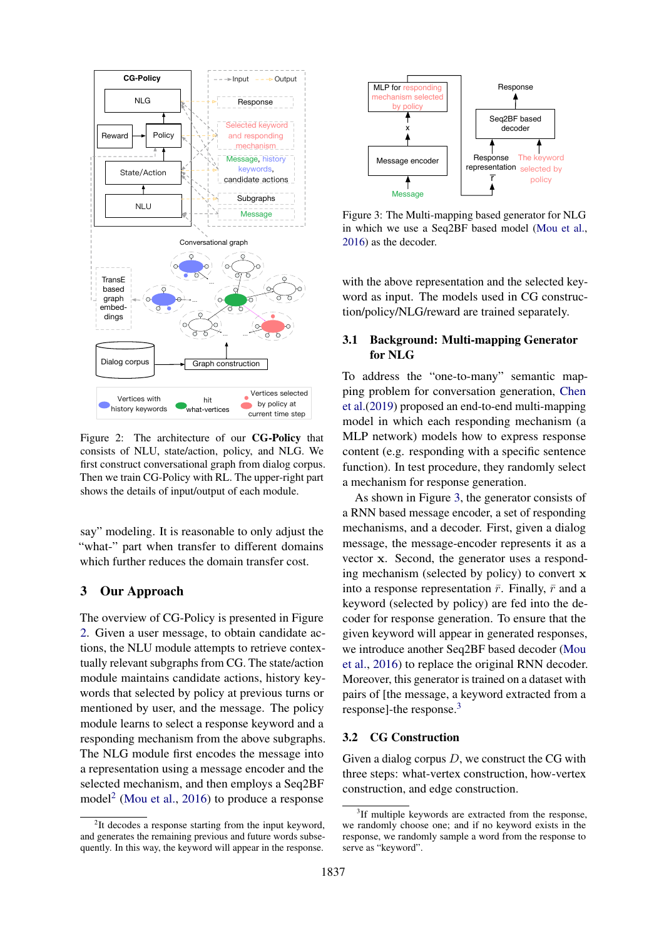<span id="page-2-1"></span>

Figure 2: The architecture of our CG-Policy that consists of NLU, state/action, policy, and NLG. We first construct conversational graph from dialog corpus. Then we train CG-Policy with RL. The upper-right part shows the details of input/output of each module.

say" modeling. It is reasonable to only adjust the "what-" part when transfer to different domains which further reduces the domain transfer cost.

### <span id="page-2-6"></span>3 Our Approach

The overview of CG-Policy is presented in Figure [2.](#page-2-1) Given a user message, to obtain candidate actions, the NLU module attempts to retrieve contextually relevant subgraphs from CG. The state/action module maintains candidate actions, history keywords that selected by policy at previous turns or mentioned by user, and the message. The policy module learns to select a response keyword and a responding mechanism from the above subgraphs. The NLG module first encodes the message into a representation using a message encoder and the selected mechanism, and then employs a Seq2BF model<sup>[2](#page-2-2)</sup> [\(Mou et al.,](#page-9-6) [2016\)](#page-9-6) to produce a response

<span id="page-2-3"></span>

Figure 3: The Multi-mapping based generator for NLG in which we use a Seq2BF based model [\(Mou et al.,](#page-9-6) [2016\)](#page-9-6) as the decoder.

with the above representation and the selected keyword as input. The models used in CG construction/policy/NLG/reward are trained separately.

### <span id="page-2-0"></span>3.1 Background: Multi-mapping Generator for NLG

To address the "one-to-many" semantic mapping problem for conversation generation, [Chen](#page-8-3) [et al.\(2019\)](#page-8-3) proposed an end-to-end multi-mapping model in which each responding mechanism (a MLP network) models how to express response content (e.g. responding with a specific sentence function). In test procedure, they randomly select a mechanism for response generation.

As shown in Figure [3,](#page-2-3) the generator consists of a RNN based message encoder, a set of responding mechanisms, and a decoder. First, given a dialog message, the message-encoder represents it as a vector x. Second, the generator uses a responding mechanism (selected by policy) to convert x into a response representation  $\bar{r}$ . Finally,  $\bar{r}$  and a keyword (selected by policy) are fed into the decoder for response generation. To ensure that the given keyword will appear in generated responses, we introduce another Seq2BF based decoder [\(Mou](#page-9-6) [et al.,](#page-9-6) [2016\)](#page-9-6) to replace the original RNN decoder. Moreover, this generator is trained on a dataset with pairs of [the message, a keyword extracted from a response]-the response.[3](#page-2-4)

#### <span id="page-2-5"></span>3.2 CG Construction

Given a dialog corpus  $D$ , we construct the CG with three steps: what-vertex construction, how-vertex construction, and edge construction.

<span id="page-2-2"></span><sup>&</sup>lt;sup>2</sup>It decodes a response starting from the input keyword, and generates the remaining previous and future words subsequently. In this way, the keyword will appear in the response.

<span id="page-2-4"></span><sup>&</sup>lt;sup>3</sup>If multiple keywords are extracted from the response, we randomly choose one; and if no keyword exists in the response, we randomly sample a word from the response to serve as "keyword".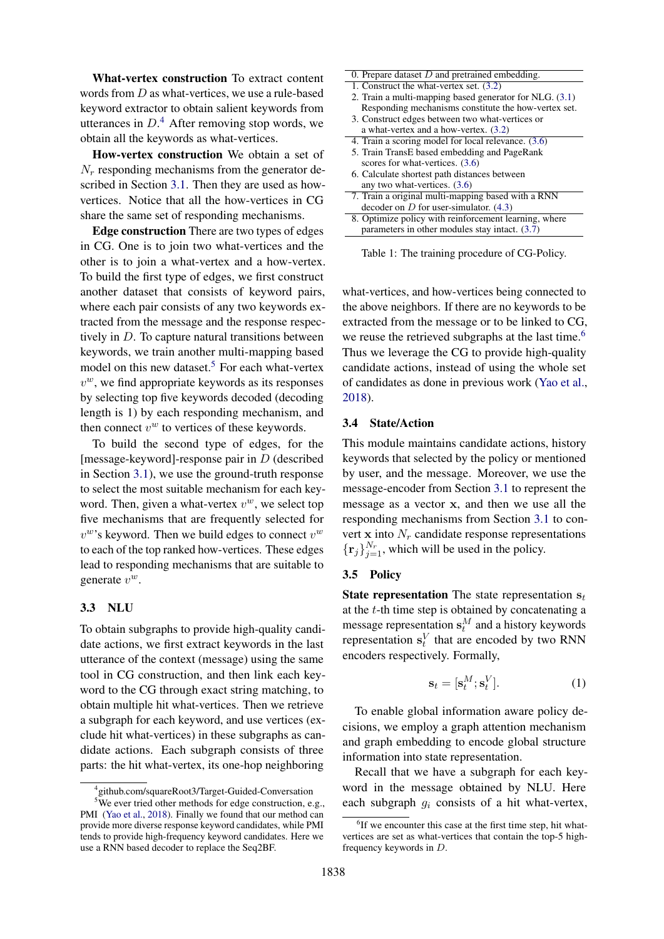What-vertex construction To extract content words from D as what-vertices, we use a rule-based keyword extractor to obtain salient keywords from utterances in  $D^4$  $D^4$ . After removing stop words, we obtain all the keywords as what-vertices.

How-vertex construction We obtain a set of  $N_r$  responding mechanisms from the generator described in Section [3.1.](#page-2-0) Then they are used as howvertices. Notice that all the how-vertices in CG share the same set of responding mechanisms.

Edge construction There are two types of edges in CG. One is to join two what-vertices and the other is to join a what-vertex and a how-vertex. To build the first type of edges, we first construct another dataset that consists of keyword pairs, where each pair consists of any two keywords extracted from the message and the response respectively in D. To capture natural transitions between keywords, we train another multi-mapping based model on this new dataset.<sup>[5](#page-3-1)</sup> For each what-vertex  $v^w$ , we find appropriate keywords as its responses by selecting top five keywords decoded (decoding length is 1) by each responding mechanism, and then connect  $v^w$  to vertices of these keywords.

To build the second type of edges, for the [message-keyword]-response pair in  $D$  (described in Section [3.1\)](#page-2-0), we use the ground-truth response to select the most suitable mechanism for each keyword. Then, given a what-vertex  $v^w$ , we select top five mechanisms that are frequently selected for  $v^w$ 's keyword. Then we build edges to connect  $v^w$ to each of the top ranked how-vertices. These edges lead to responding mechanisms that are suitable to generate  $v^w$ .

#### 3.3 NLU

To obtain subgraphs to provide high-quality candidate actions, we first extract keywords in the last utterance of the context (message) using the same tool in CG construction, and then link each keyword to the CG through exact string matching, to obtain multiple hit what-vertices. Then we retrieve a subgraph for each keyword, and use vertices (exclude hit what-vertices) in these subgraphs as candidate actions. Each subgraph consists of three parts: the hit what-vertex, its one-hop neighboring

| 0. Prepare dataset $D$ and pretrained embedding.          |
|-----------------------------------------------------------|
| 1. Construct the what-vertex set. (3.2)                   |
| 2. Train a multi-mapping based generator for NLG. $(3.1)$ |
| Responding mechanisms constitute the how-vertex set.      |
| 3. Construct edges between two what-vertices or           |
| a what-vertex and a how-vertex. (3.2)                     |
| 4. Train a scoring model for local relevance. (3.6)       |
| 5. Train TransE based embedding and PageRank              |
| scores for what-vertices. $(3.6)$                         |
| 6. Calculate shortest path distances between              |
| any two what-vertices. (3.6)                              |
| 7. Train a original multi-mapping based with a RNN        |
| decoder on $D$ for user-simulator. $(4.3)$                |
| 8. Optimize policy with reinforcement learning, where     |
| parameters in other modules stay intact. $(3.7)$          |

Table 1: The training procedure of CG-Policy.

what-vertices, and how-vertices being connected to the above neighbors. If there are no keywords to be extracted from the message or to be linked to CG, we reuse the retrieved subgraphs at the last time.<sup>[6](#page-3-2)</sup> Thus we leverage the CG to provide high-quality candidate actions, instead of using the whole set of candidates as done in previous work [\(Yao et al.,](#page-9-1) [2018\)](#page-9-1).

### 3.4 State/Action

This module maintains candidate actions, history keywords that selected by the policy or mentioned by user, and the message. Moreover, we use the message-encoder from Section [3.1](#page-2-0) to represent the message as a vector x, and then we use all the responding mechanisms from Section [3.1](#page-2-0) to convert x into  $N_r$  candidate response representations  $\{r_j\}_{j=1}^{N_r}$ , which will be used in the policy.

#### 3.5 Policy

**State representation** The state representation  $s_t$ at the t-th time step is obtained by concatenating a message representation  $s_t^M$  and a history keywords representation  $s_t^V$  that are encoded by two RNN encoders respectively. Formally,

$$
\mathbf{s}_t = [\mathbf{s}_t^M; \mathbf{s}_t^V]. \tag{1}
$$

To enable global information aware policy decisions, we employ a graph attention mechanism and graph embedding to encode global structure information into state representation.

Recall that we have a subgraph for each keyword in the message obtained by NLU. Here each subgraph  $g_i$  consists of a hit what-vertex,

<span id="page-3-1"></span><span id="page-3-0"></span><sup>4</sup> github.com/squareRoot3/Target-Guided-Conversation

<sup>&</sup>lt;sup>5</sup>We ever tried other methods for edge construction, e.g., PMI [\(Yao et al.,](#page-9-1) [2018\)](#page-9-1). Finally we found that our method can provide more diverse response keyword candidates, while PMI tends to provide high-frequency keyword candidates. Here we use a RNN based decoder to replace the Seq2BF.

<span id="page-3-2"></span><sup>&</sup>lt;sup>6</sup>If we encounter this case at the first time step, hit whatvertices are set as what-vertices that contain the top-5 highfrequency keywords in D.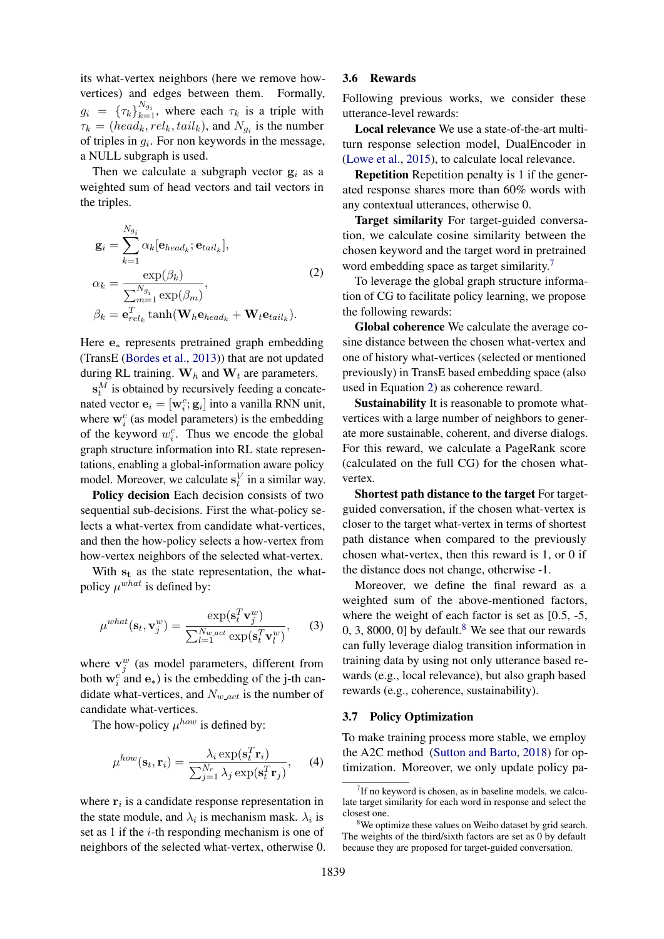its what-vertex neighbors (here we remove howvertices) and edges between them. Formally,  $g_i = {\{\tau_k\}}_{k=1}^{N_{g_i}}$ , where each  $\tau_k$  is a triple with  $\tau_k = (head_k, rel_k, tail_k)$ , and  $N_{g_i}$  is the number of triples in  $g_i$ . For non keywords in the message, a NULL subgraph is used.

Then we calculate a subgraph vector  $g_i$  as a weighted sum of head vectors and tail vectors in the triples.

<span id="page-4-3"></span>
$$
\mathbf{g}_{i} = \sum_{k=1}^{N_{g_{i}}} \alpha_{k} [\mathbf{e}_{head_{k}}; \mathbf{e}_{tail_{k}}],
$$
  
\n
$$
\alpha_{k} = \frac{\exp(\beta_{k})}{\sum_{m=1}^{N_{g_{i}}} \exp(\beta_{m})},
$$
  
\n
$$
\beta_{k} = \mathbf{e}_{rel_{k}}^{T} \tanh(\mathbf{W}_{h} \mathbf{e}_{head_{k}} + \mathbf{W}_{t} \mathbf{e}_{tail_{k}}).
$$
\n(2)

Here e<sup>∗</sup> represents pretrained graph embedding (TransE [\(Bordes et al.,](#page-8-8) [2013\)](#page-8-8)) that are not updated during RL training.  $W_h$  and  $W_t$  are parameters.

 $\mathbf{s}_t^M$  is obtained by recursively feeding a concatenated vector  $\mathbf{e}_i = [\mathbf{w}_i^c; \mathbf{g}_i]$  into a vanilla RNN unit, where  $\mathbf{w}_i^c$  (as model parameters) is the embedding of the keyword  $w_i^c$ . Thus we encode the global graph structure information into RL state representations, enabling a global-information aware policy model. Moreover, we calculate  $s_t^V$  in a similar way.

Policy decision Each decision consists of two sequential sub-decisions. First the what-policy selects a what-vertex from candidate what-vertices, and then the how-policy selects a how-vertex from how-vertex neighbors of the selected what-vertex.

With  $s_t$  as the state representation, the whatpolicy  $\mu^{what}$  is defined by:

$$
\mu^{what}(\mathbf{s}_t, \mathbf{v}_j^w) = \frac{\exp(\mathbf{s}_t^T \mathbf{v}_j^w)}{\sum_{l=1}^{N_{w,act}} \exp(\mathbf{s}_t^T \mathbf{v}_l^w)},
$$
(3)

where  $\mathbf{v}_j^w$  (as model parameters, different from both  $w_i^c$  and  $e_*$ ) is the embedding of the j-th candidate what-vertices, and  $N_{w, act}$  is the number of candidate what-vertices.

The how-policy  $\mu^{how}$  is defined by:

$$
\mu^{how}(\mathbf{s}_t, \mathbf{r}_i) = \frac{\lambda_i \exp(\mathbf{s}_t^T \mathbf{r}_i)}{\sum_{j=1}^{N_r} \lambda_j \exp(\mathbf{s}_t^T \mathbf{r}_j)},\qquad(4)
$$

where  $r_i$  is a candidate response representation in the state module, and  $\lambda_i$  is mechanism mask.  $\lambda_i$  is set as 1 if the  $i$ -th responding mechanism is one of neighbors of the selected what-vertex, otherwise 0.

### <span id="page-4-0"></span>3.6 Rewards

Following previous works, we consider these utterance-level rewards:

Local relevance We use a state-of-the-art multiturn response selection model, DualEncoder in [\(Lowe et al.,](#page-8-9) [2015\)](#page-8-9), to calculate local relevance.

Repetition Repetition penalty is 1 if the generated response shares more than 60% words with any contextual utterances, otherwise 0.

Target similarity For target-guided conversation, we calculate cosine similarity between the chosen keyword and the target word in pretrained word embedding space as target similarity.<sup>[7](#page-4-2)</sup>

To leverage the global graph structure information of CG to facilitate policy learning, we propose the following rewards:

Global coherence We calculate the average cosine distance between the chosen what-vertex and one of history what-vertices (selected or mentioned previously) in TransE based embedding space (also used in Equation [2\)](#page-4-3) as coherence reward.

Sustainability It is reasonable to promote whatvertices with a large number of neighbors to generate more sustainable, coherent, and diverse dialogs. For this reward, we calculate a PageRank score (calculated on the full CG) for the chosen whatvertex.

Shortest path distance to the target For targetguided conversation, if the chosen what-vertex is closer to the target what-vertex in terms of shortest path distance when compared to the previously chosen what-vertex, then this reward is 1, or 0 if the distance does not change, otherwise -1.

Moreover, we define the final reward as a weighted sum of the above-mentioned factors, where the weight of each factor is set as [0.5, -5, 0, 3, [8](#page-4-4)000, 0] by default.<sup>8</sup> We see that our rewards can fully leverage dialog transition information in training data by using not only utterance based rewards (e.g., local relevance), but also graph based rewards (e.g., coherence, sustainability).

#### <span id="page-4-1"></span>3.7 Policy Optimization

To make training process more stable, we employ the A2C method [\(Sutton and Barto,](#page-9-7) [2018\)](#page-9-7) for optimization. Moreover, we only update policy pa-

<span id="page-4-2"></span><sup>&</sup>lt;sup>7</sup>If no keyword is chosen, as in baseline models, we calculate target similarity for each word in response and select the closest one.

<span id="page-4-4"></span><sup>&</sup>lt;sup>8</sup>We optimize these values on Weibo dataset by grid search. The weights of the third/sixth factors are set as 0 by default because they are proposed for target-guided conversation.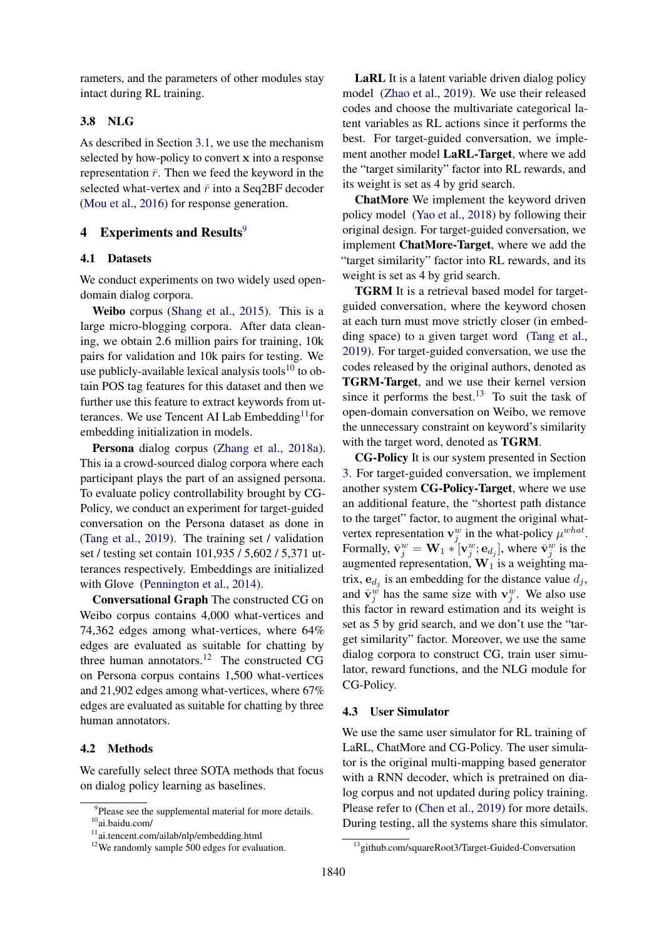rameters, and the parameters of other modules stay intact during RL training.

## 3.8 NLG

As described in Section [3.1,](#page-2-0) we use the mechanism selected by how-policy to convert x into a response representation  $\bar{r}$ . Then we feed the keyword in the selected what-vertex and  $\bar{r}$  into a Seq2BF decoder [\(Mou et al.,](#page-9-6) [2016\)](#page-9-6) for response generation.

### 4 Experiments and Results $9$

#### 4.1 Datasets

We conduct experiments on two widely used opendomain dialog corpora.

Weibo corpus [\(Shang et al.,](#page-9-8) [2015\)](#page-9-8). This is a large micro-blogging corpora. After data cleaning, we obtain 2.6 million pairs for training, 10k pairs for validation and 10k pairs for testing. We use publicly-available lexical analysis tools $10$  to obtain POS tag features for this dataset and then we further use this feature to extract keywords from utterances. We use Tencent AI Lab  $Embedding<sup>11</sup>$  $Embedding<sup>11</sup>$  $Embedding<sup>11</sup>$  for embedding initialization in models.

Persona dialog corpus [\(Zhang et al.,](#page-9-9) [2018a\)](#page-9-9). This ia a crowd-sourced dialog corpora where each participant plays the part of an assigned persona. To evaluate policy controllability brought by CG-Policy, we conduct an experiment for target-guided conversation on the Persona dataset as done in [\(Tang et al.,](#page-9-10) [2019\)](#page-9-10). The training set / validation set / testing set contain 101,935 / 5,602 / 5,371 utterances respectively. Embeddings are initialized with Glove [\(Pennington et al.,](#page-9-11) [2014\)](#page-9-11).

Conversational Graph The constructed CG on Weibo corpus contains 4,000 what-vertices and 74,362 edges among what-vertices, where 64% edges are evaluated as suitable for chatting by three human annotators.<sup>[12](#page-5-4)</sup> The constructed CG on Persona corpus contains 1,500 what-vertices and 21,902 edges among what-vertices, where 67% edges are evaluated as suitable for chatting by three human annotators.

### 4.2 Methods

We carefully select three SOTA methods that focus on dialog policy learning as baselines.

LaRL It is a latent variable driven dialog policy model [\(Zhao et al.,](#page-9-2) [2019\)](#page-9-2). We use their released codes and choose the multivariate categorical latent variables as RL actions since it performs the best. For target-guided conversation, we implement another model LaRL-Target, where we add the "target similarity" factor into RL rewards, and its weight is set as 4 by grid search.

ChatMore We implement the keyword driven policy model [\(Yao et al.,](#page-9-1) [2018\)](#page-9-1) by following their original design. For target-guided conversation, we implement ChatMore-Target, where we add the "target similarity" factor into RL rewards, and its weight is set as 4 by grid search.

TGRM It is a retrieval based model for targetguided conversation, where the keyword chosen at each turn must move strictly closer (in embedding space) to a given target word [\(Tang et al.,](#page-9-10) [2019\)](#page-9-10). For target-guided conversation, we use the codes released by the original authors, denoted as TGRM-Target, and we use their kernel version since it performs the best.<sup>[13](#page-5-5)</sup> To suit the task of open-domain conversation on Weibo, we remove the unnecessary constraint on keyword's similarity with the target word, denoted as TGRM.

CG-Policy It is our system presented in Section [3.](#page-2-6) For target-guided conversation, we implement another system CG-Policy-Target, where we use an additional feature, the "shortest path distance to the target" factor, to augment the original whatvertex representation  $\mathbf{v}_j^w$  in the what-policy  $\mu^{what}$ . Formally,  $\bar{\mathbf{v}}_j^w = \mathbf{W}_1 \ast [\mathbf{v}_j^w; \mathbf{e}_{d_j}]$ , where  $\bar{\mathbf{v}}_j^w$  is the augmented representation,  $W_1$  is a weighting matrix,  $\mathbf{e}_{d_j}$  is an embedding for the distance value  $d_j$ , and  $\bar{\mathbf{v}}_j^w$  has the same size with  $\mathbf{v}_j^w$ . We also use this factor in reward estimation and its weight is set as 5 by grid search, and we don't use the "target similarity" factor. Moreover, we use the same dialog corpora to construct CG, train user simulator, reward functions, and the NLG module for CG-Policy.

#### <span id="page-5-0"></span>4.3 User Simulator

We use the same user simulator for RL training of LaRL, ChatMore and CG-Policy. The user simulator is the original multi-mapping based generator with a RNN decoder, which is pretrained on dialog corpus and not updated during policy training. Please refer to [\(Chen et al.,](#page-8-3) [2019\)](#page-8-3) for more details. During testing, all the systems share this simulator.

<span id="page-5-1"></span><sup>&</sup>lt;sup>9</sup>Please see the supplemental material for more details. <sup>10</sup>ai.baidu.com/

<span id="page-5-2"></span>

<span id="page-5-3"></span><sup>11</sup>ai.tencent.com/ailab/nlp/embedding.html

<span id="page-5-4"></span><sup>&</sup>lt;sup>12</sup>We randomly sample 500 edges for evaluation.

<span id="page-5-5"></span><sup>13</sup>github.com/squareRoot3/Target-Guided-Conversation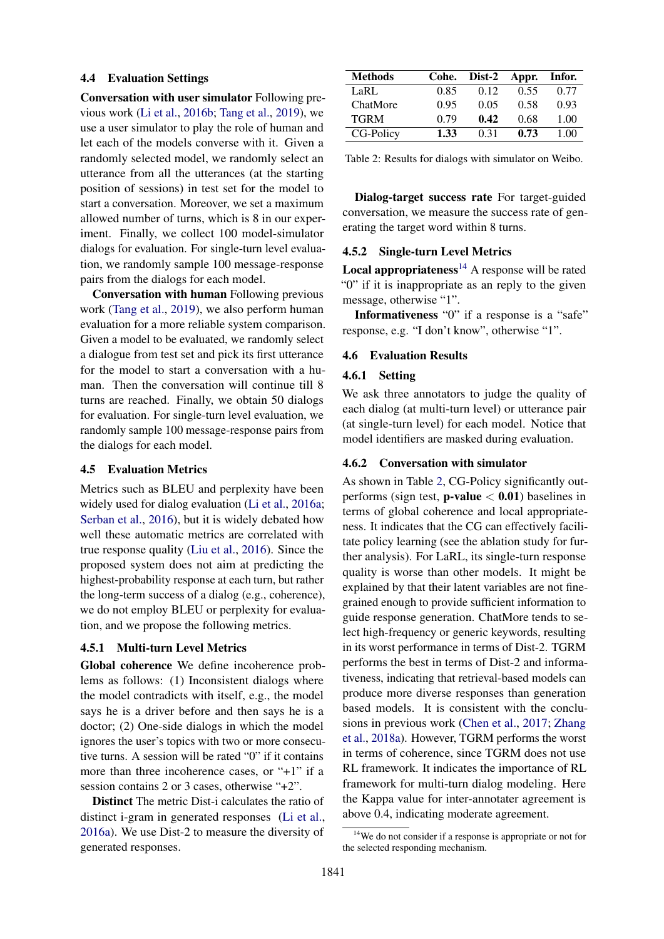#### 4.4 Evaluation Settings

Conversation with user simulator Following previous work [\(Li et al.,](#page-8-0) [2016b;](#page-8-0) [Tang et al.,](#page-9-10) [2019\)](#page-9-10), we use a user simulator to play the role of human and let each of the models converse with it. Given a randomly selected model, we randomly select an utterance from all the utterances (at the starting position of sessions) in test set for the model to start a conversation. Moreover, we set a maximum allowed number of turns, which is 8 in our experiment. Finally, we collect 100 model-simulator dialogs for evaluation. For single-turn level evaluation, we randomly sample 100 message-response pairs from the dialogs for each model.

Conversation with human Following previous work [\(Tang et al.,](#page-9-10) [2019\)](#page-9-10), we also perform human evaluation for a more reliable system comparison. Given a model to be evaluated, we randomly select a dialogue from test set and pick its first utterance for the model to start a conversation with a human. Then the conversation will continue till 8 turns are reached. Finally, we obtain 50 dialogs for evaluation. For single-turn level evaluation, we randomly sample 100 message-response pairs from the dialogs for each model.

### 4.5 Evaluation Metrics

Metrics such as BLEU and perplexity have been widely used for dialog evaluation [\(Li et al.,](#page-8-10) [2016a;](#page-8-10) [Serban et al.,](#page-9-12) [2016\)](#page-9-12), but it is widely debated how well these automatic metrics are correlated with true response quality [\(Liu et al.,](#page-8-11) [2016\)](#page-8-11). Since the proposed system does not aim at predicting the highest-probability response at each turn, but rather the long-term success of a dialog (e.g., coherence), we do not employ BLEU or perplexity for evaluation, and we propose the following metrics.

#### 4.5.1 Multi-turn Level Metrics

Global coherence We define incoherence problems as follows: (1) Inconsistent dialogs where the model contradicts with itself, e.g., the model says he is a driver before and then says he is a doctor; (2) One-side dialogs in which the model ignores the user's topics with two or more consecutive turns. A session will be rated "0" if it contains more than three incoherence cases, or "+1" if a session contains 2 or 3 cases, otherwise "+2".

Distinct The metric Dist-i calculates the ratio of distinct i-gram in generated responses [\(Li et al.,](#page-8-10) [2016a\)](#page-8-10). We use Dist-2 to measure the diversity of generated responses.

<span id="page-6-1"></span>

| <b>Methods</b> | Cohe. | Dist-2 | Appr. | Infor. |
|----------------|-------|--------|-------|--------|
| LaRL           | 0.85  | 0.12   | 0.55  | 0.77   |
| ChatMore       | 0.95  | 0.05   | 0.58  | 0.93   |
| <b>TGRM</b>    | 0.79  | 0.42   | 0.68  | 1.00   |
| CG-Policy      | 1.33  | 0.31   | 0.73  | 1.00   |

Table 2: Results for dialogs with simulator on Weibo.

Dialog-target success rate For target-guided conversation, we measure the success rate of generating the target word within 8 turns.

### 4.5.2 Single-turn Level Metrics

**Local appropriateness**<sup>[14](#page-6-0)</sup> A response will be rated "0" if it is inappropriate as an reply to the given message, otherwise "1".

Informativeness "0" if a response is a "safe" response, e.g. "I don't know", otherwise "1".

#### 4.6 Evaluation Results

#### 4.6.1 Setting

We ask three annotators to judge the quality of each dialog (at multi-turn level) or utterance pair (at single-turn level) for each model. Notice that model identifiers are masked during evaluation.

#### 4.6.2 Conversation with simulator

As shown in Table [2,](#page-6-1) CG-Policy significantly outperforms (sign test, **p-value**  $< 0.01$ ) baselines in terms of global coherence and local appropriateness. It indicates that the CG can effectively facilitate policy learning (see the ablation study for further analysis). For LaRL, its single-turn response quality is worse than other models. It might be explained by that their latent variables are not finegrained enough to provide sufficient information to guide response generation. ChatMore tends to select high-frequency or generic keywords, resulting in its worst performance in terms of Dist-2. TGRM performs the best in terms of Dist-2 and informativeness, indicating that retrieval-based models can produce more diverse responses than generation based models. It is consistent with the conclusions in previous work [\(Chen et al.,](#page-8-12) [2017;](#page-8-12) [Zhang](#page-9-9) [et al.,](#page-9-9) [2018a\)](#page-9-9). However, TGRM performs the worst in terms of coherence, since TGRM does not use RL framework. It indicates the importance of RL framework for multi-turn dialog modeling. Here the Kappa value for inter-annotater agreement is above 0.4, indicating moderate agreement.

<span id="page-6-0"></span><sup>&</sup>lt;sup>14</sup>We do not consider if a response is appropriate or not for the selected responding mechanism.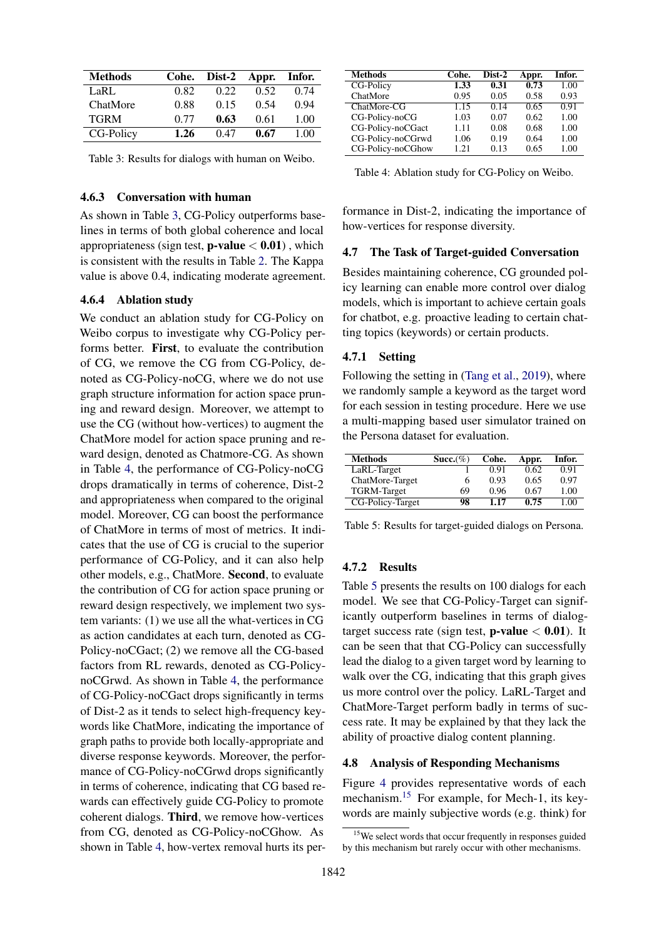<span id="page-7-0"></span>

| <b>Methods</b> | Cohe. | Dist-2 | Appr. | Infor. |
|----------------|-------|--------|-------|--------|
| LaRL           | 0.82  | 0.22   | 0.52  | 0.74   |
| ChatMore       | 0.88  | 0.15   | 0.54  | 0.94   |
| <b>TGRM</b>    | 0.77  | 0.63   | 0.61  | 1.00   |
| CG-Policy      | 1.26  | 0.47   | 0.67  | 1.00   |

Table 3: Results for dialogs with human on Weibo.

### 4.6.3 Conversation with human

As shown in Table [3,](#page-7-0) CG-Policy outperforms baselines in terms of both global coherence and local appropriateness (sign test, **p-value**  $< 0.01$ ), which is consistent with the results in Table [2.](#page-6-1) The Kappa value is above 0.4, indicating moderate agreement.

#### 4.6.4 Ablation study

We conduct an ablation study for CG-Policy on Weibo corpus to investigate why CG-Policy performs better. First, to evaluate the contribution of CG, we remove the CG from CG-Policy, denoted as CG-Policy-noCG, where we do not use graph structure information for action space pruning and reward design. Moreover, we attempt to use the CG (without how-vertices) to augment the ChatMore model for action space pruning and reward design, denoted as Chatmore-CG. As shown in Table [4,](#page-7-1) the performance of CG-Policy-noCG drops dramatically in terms of coherence, Dist-2 and appropriateness when compared to the original model. Moreover, CG can boost the performance of ChatMore in terms of most of metrics. It indicates that the use of CG is crucial to the superior performance of CG-Policy, and it can also help other models, e.g., ChatMore. Second, to evaluate the contribution of CG for action space pruning or reward design respectively, we implement two system variants: (1) we use all the what-vertices in CG as action candidates at each turn, denoted as CG-Policy-noCGact; (2) we remove all the CG-based factors from RL rewards, denoted as CG-PolicynoCGrwd. As shown in Table [4,](#page-7-1) the performance of CG-Policy-noCGact drops significantly in terms of Dist-2 as it tends to select high-frequency keywords like ChatMore, indicating the importance of graph paths to provide both locally-appropriate and diverse response keywords. Moreover, the performance of CG-Policy-noCGrwd drops significantly in terms of coherence, indicating that CG based rewards can effectively guide CG-Policy to promote coherent dialogs. Third, we remove how-vertices from CG, denoted as CG-Policy-noCGhow. As shown in Table [4,](#page-7-1) how-vertex removal hurts its per-

<span id="page-7-1"></span>

| <b>Methods</b>    | Cohe. | Dist-2 | Appr. | Infor. |
|-------------------|-------|--------|-------|--------|
| CG-Policy         | 1.33  | 0.31   | 0.73  | 1.00   |
| ChatMore          | 0.95  | 0.05   | 0.58  | 0.93   |
| ChatMore-CG       | 1.15  | 0.14   | 0.65  | 0.91   |
| CG-Policy-noCG    | 1.03  | 0.07   | 0.62  | 1.00   |
| CG-Policy-noCGact | 1.11  | 0.08   | 0.68  | 1.00   |
| CG-Policy-noCGrwd | 1.06  | 0.19   | 0.64  | 1.00   |
| CG-Policy-noCGhow | 1.21  | 0.13   | 0.65  | 1.00   |

Table 4: Ablation study for CG-Policy on Weibo.

formance in Dist-2, indicating the importance of how-vertices for response diversity.

#### 4.7 The Task of Target-guided Conversation

Besides maintaining coherence, CG grounded policy learning can enable more control over dialog models, which is important to achieve certain goals for chatbot, e.g. proactive leading to certain chatting topics (keywords) or certain products.

#### 4.7.1 Setting

Following the setting in [\(Tang et al.,](#page-9-10) [2019\)](#page-9-10), where we randomly sample a keyword as the target word for each session in testing procedure. Here we use a multi-mapping based user simulator trained on the Persona dataset for evaluation.

<span id="page-7-2"></span>

| <b>Methods</b>     | Succ. $(\%)$ | Cohe. | Appr. | Infor. |
|--------------------|--------------|-------|-------|--------|
| LaRL-Target        |              | 0.91  | 0.62  | 0.91   |
| ChatMore-Target    | 6            | 0.93  | 0.65  | 0.97   |
| <b>TGRM-Target</b> | 69           | 0.96  | 0.67  | 1.00   |
| CG-Policy-Target   | 98           | 1.17  | 0.75  | 1.00   |

Table 5: Results for target-guided dialogs on Persona.

#### 4.7.2 Results

Table [5](#page-7-2) presents the results on 100 dialogs for each model. We see that CG-Policy-Target can significantly outperform baselines in terms of dialogtarget success rate (sign test, **p-value**  $< 0.01$ ). It can be seen that that CG-Policy can successfully lead the dialog to a given target word by learning to walk over the CG, indicating that this graph gives us more control over the policy. LaRL-Target and ChatMore-Target perform badly in terms of success rate. It may be explained by that they lack the ability of proactive dialog content planning.

#### 4.8 Analysis of Responding Mechanisms

Figure [4](#page-8-13) provides representative words of each mechanism.<sup>[15](#page-7-3)</sup> For example, for Mech-1, its keywords are mainly subjective words (e.g. think) for

<span id="page-7-3"></span><sup>&</sup>lt;sup>15</sup>We select words that occur frequently in responses guided by this mechanism but rarely occur with other mechanisms.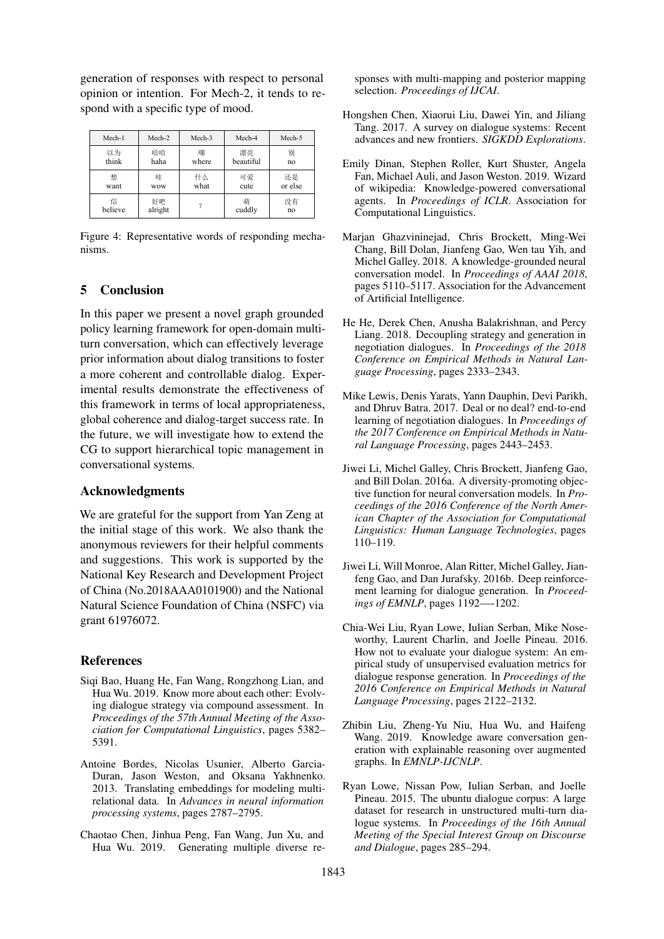generation of responses with respect to personal opinion or intention. For Mech-2, it tends to respond with a specific type of mood.

<span id="page-8-13"></span>

| Mech-1  | Mech-2     | Mech-3 | Mech-4    | Mech-5  |
|---------|------------|--------|-----------|---------|
| 以为      | 哈哈         | 哪      | 漂亮        | 别       |
| think   | haha       | where  | beautiful | no      |
| 想       | 哇          | 什么     | 可爱        | 还是      |
| want    | <b>WOW</b> | what   | cute      | or else |
| 信       | 好吧         | ?      | 萌         | 没有      |
| believe | alright    |        | cuddly    | no      |

Figure 4: Representative words of responding mechanisms.

# 5 Conclusion

In this paper we present a novel graph grounded policy learning framework for open-domain multiturn conversation, which can effectively leverage prior information about dialog transitions to foster a more coherent and controllable dialog. Experimental results demonstrate the effectiveness of this framework in terms of local appropriateness, global coherence and dialog-target success rate. In the future, we will investigate how to extend the CG to support hierarchical topic management in conversational systems.

### Acknowledgments

We are grateful for the support from Yan Zeng at the initial stage of this work. We also thank the anonymous reviewers for their helpful comments and suggestions. This work is supported by the National Key Research and Development Project of China (No.2018AAA0101900) and the National Natural Science Foundation of China (NSFC) via grant 61976072.

### References

- <span id="page-8-7"></span>Siqi Bao, Huang He, Fan Wang, Rongzhong Lian, and Hua Wu. 2019. Know more about each other: Evolving dialogue strategy via compound assessment. In *Proceedings of the 57th Annual Meeting of the Association for Computational Linguistics*, pages 5382– 5391.
- <span id="page-8-8"></span>Antoine Bordes, Nicolas Usunier, Alberto Garcia-Duran, Jason Weston, and Oksana Yakhnenko. 2013. Translating embeddings for modeling multirelational data. In *Advances in neural information processing systems*, pages 2787–2795.
- <span id="page-8-3"></span>Chaotao Chen, Jinhua Peng, Fan Wang, Jun Xu, and Hua Wu. 2019. Generating multiple diverse re-

sponses with multi-mapping and posterior mapping selection. *Proceedings of IJCAI*.

- <span id="page-8-12"></span>Hongshen Chen, Xiaorui Liu, Dawei Yin, and Jiliang Tang. 2017. A survey on dialogue systems: Recent advances and new frontiers. *SIGKDD Explorations*.
- <span id="page-8-4"></span>Emily Dinan, Stephen Roller, Kurt Shuster, Angela Fan, Michael Auli, and Jason Weston. 2019. Wizard of wikipedia: Knowledge-powered conversational agents. In *Proceedings of ICLR*. Association for Computational Linguistics.
- <span id="page-8-5"></span>Marjan Ghazvininejad, Chris Brockett, Ming-Wei Chang, Bill Dolan, Jianfeng Gao, Wen tau Yih, and Michel Galley. 2018. A knowledge-grounded neural conversation model. In *Proceedings of AAAI 2018*, pages 5110–5117. Association for the Advancement of Artificial Intelligence.
- <span id="page-8-2"></span>He He, Derek Chen, Anusha Balakrishnan, and Percy Liang. 2018. Decoupling strategy and generation in negotiation dialogues. In *Proceedings of the 2018 Conference on Empirical Methods in Natural Language Processing*, pages 2333–2343.
- <span id="page-8-1"></span>Mike Lewis, Denis Yarats, Yann Dauphin, Devi Parikh, and Dhruv Batra. 2017. Deal or no deal? end-to-end learning of negotiation dialogues. In *Proceedings of the 2017 Conference on Empirical Methods in Natural Language Processing*, pages 2443–2453.
- <span id="page-8-10"></span>Jiwei Li, Michel Galley, Chris Brockett, Jianfeng Gao, and Bill Dolan. 2016a. A diversity-promoting objective function for neural conversation models. In *Proceedings of the 2016 Conference of the North American Chapter of the Association for Computational Linguistics: Human Language Technologies*, pages 110–119.
- <span id="page-8-0"></span>Jiwei Li, Will Monroe, Alan Ritter, Michel Galley, Jianfeng Gao, and Dan Jurafsky. 2016b. Deep reinforcement learning for dialogue generation. In *Proceedings of EMNLP*, pages 1192—-1202.
- <span id="page-8-11"></span>Chia-Wei Liu, Ryan Lowe, Iulian Serban, Mike Noseworthy, Laurent Charlin, and Joelle Pineau. 2016. How not to evaluate your dialogue system: An empirical study of unsupervised evaluation metrics for dialogue response generation. In *Proceedings of the 2016 Conference on Empirical Methods in Natural Language Processing*, pages 2122–2132.
- <span id="page-8-6"></span>Zhibin Liu, Zheng-Yu Niu, Hua Wu, and Haifeng Wang. 2019. Knowledge aware conversation generation with explainable reasoning over augmented graphs. In *EMNLP-IJCNLP*.
- <span id="page-8-9"></span>Ryan Lowe, Nissan Pow, Iulian Serban, and Joelle Pineau. 2015. The ubuntu dialogue corpus: A large dataset for research in unstructured multi-turn dialogue systems. In *Proceedings of the 16th Annual Meeting of the Special Interest Group on Discourse and Dialogue*, pages 285–294.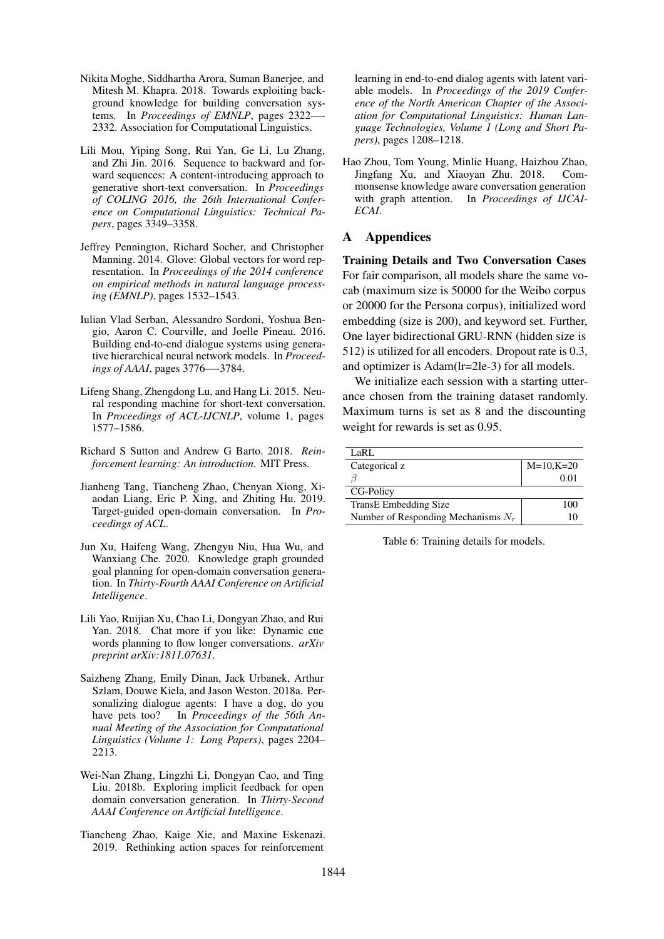- <span id="page-9-3"></span>Nikita Moghe, Siddhartha Arora, Suman Banerjee, and Mitesh M. Khapra. 2018. Towards exploiting background knowledge for building conversation systems. In *Proceedings of EMNLP*, pages 2322-2332. Association for Computational Linguistics.
- <span id="page-9-6"></span>Lili Mou, Yiping Song, Rui Yan, Ge Li, Lu Zhang, and Zhi Jin. 2016. Sequence to backward and forward sequences: A content-introducing approach to generative short-text conversation. In *Proceedings of COLING 2016, the 26th International Conference on Computational Linguistics: Technical Papers*, pages 3349–3358.
- <span id="page-9-11"></span>Jeffrey Pennington, Richard Socher, and Christopher Manning. 2014. Glove: Global vectors for word representation. In *Proceedings of the 2014 conference on empirical methods in natural language processing (EMNLP)*, pages 1532–1543.
- <span id="page-9-12"></span>Iulian Vlad Serban, Alessandro Sordoni, Yoshua Bengio, Aaron C. Courville, and Joelle Pineau. 2016. Building end-to-end dialogue systems using generative hierarchical neural network models. In *Proceedings of AAAI*, pages 3776—-3784.
- <span id="page-9-8"></span>Lifeng Shang, Zhengdong Lu, and Hang Li. 2015. Neural responding machine for short-text conversation. In *Proceedings of ACL-IJCNLP*, volume 1, pages 1577–1586.
- <span id="page-9-7"></span>Richard S Sutton and Andrew G Barto. 2018. *Reinforcement learning: An introduction*. MIT Press.
- <span id="page-9-10"></span>Jianheng Tang, Tiancheng Zhao, Chenyan Xiong, Xiaodan Liang, Eric P. Xing, and Zhiting Hu. 2019. Target-guided open-domain conversation. In *Proceedings of ACL*.
- <span id="page-9-5"></span>Jun Xu, Haifeng Wang, Zhengyu Niu, Hua Wu, and Wanxiang Che. 2020. Knowledge graph grounded goal planning for open-domain conversation generation. In *Thirty-Fourth AAAI Conference on Artificial Intelligence*.
- <span id="page-9-1"></span>Lili Yao, Ruijian Xu, Chao Li, Dongyan Zhao, and Rui Yan. 2018. Chat more if you like: Dynamic cue words planning to flow longer conversations. *arXiv preprint arXiv:1811.07631*.
- <span id="page-9-9"></span>Saizheng Zhang, Emily Dinan, Jack Urbanek, Arthur Szlam, Douwe Kiela, and Jason Weston. 2018a. Personalizing dialogue agents: I have a dog, do you have pets too? In *Proceedings of the 56th Annual Meeting of the Association for Computational Linguistics (Volume 1: Long Papers)*, pages 2204– 2213.
- <span id="page-9-0"></span>Wei-Nan Zhang, Lingzhi Li, Dongyan Cao, and Ting Liu. 2018b. Exploring implicit feedback for open domain conversation generation. In *Thirty-Second AAAI Conference on Artificial Intelligence*.
- <span id="page-9-2"></span>Tiancheng Zhao, Kaige Xie, and Maxine Eskenazi. 2019. Rethinking action spaces for reinforcement

learning in end-to-end dialog agents with latent variable models. In *Proceedings of the 2019 Conference of the North American Chapter of the Association for Computational Linguistics: Human Language Technologies, Volume 1 (Long and Short Papers)*, pages 1208–1218.

<span id="page-9-4"></span>Hao Zhou, Tom Young, Minlie Huang, Haizhou Zhao, Jingfang Xu, and Xiaoyan Zhu. 2018. Commonsense knowledge aware conversation generation with graph attention. In *Proceedings of IJCAI-ECAI*.

### A Appendices

Training Details and Two Conversation Cases For fair comparison, all models share the same vocab (maximum size is 50000 for the Weibo corpus or 20000 for the Persona corpus), initialized word embedding (size is 200), and keyword set. Further, One layer bidirectional GRU-RNN (hidden size is 512) is utilized for all encoders. Dropout rate is 0.3, and optimizer is Adam(lr=2le-3) for all models.

We initialize each session with a starting utterance chosen from the training dataset randomly. Maximum turns is set as 8 and the discounting weight for rewards is set as 0.95.

| LaRL                                  |              |
|---------------------------------------|--------------|
| Categorical z                         | $M=10, K=20$ |
|                                       | 0.01         |
| CG-Policy                             |              |
| <b>TransE</b> Embedding Size          | 100          |
| Number of Responding Mechanisms $N_r$ |              |

Table 6: Training details for models.